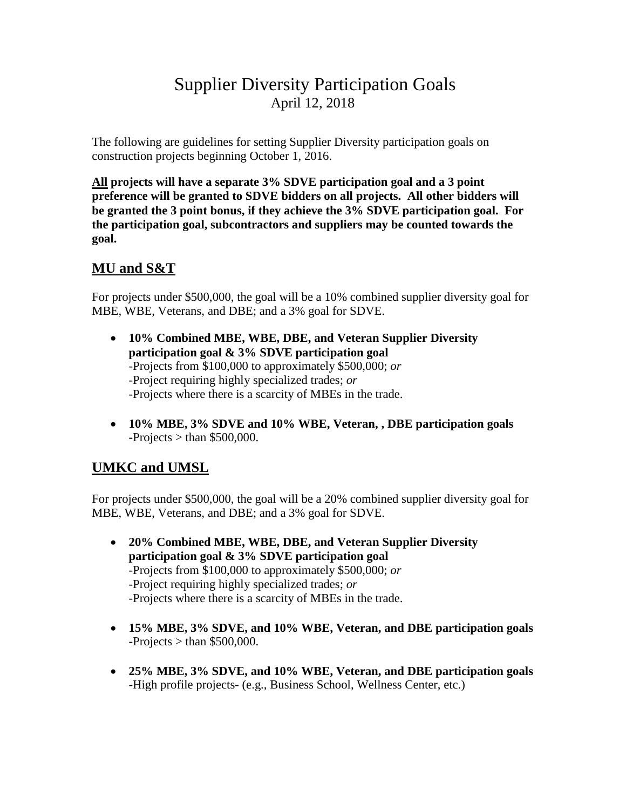## Supplier Diversity Participation Goals April 12, 2018

The following are guidelines for setting Supplier Diversity participation goals on construction projects beginning October 1, 2016.

**All projects will have a separate 3% SDVE participation goal and a 3 point preference will be granted to SDVE bidders on all projects. All other bidders will be granted the 3 point bonus, if they achieve the 3% SDVE participation goal. For the participation goal, subcontractors and suppliers may be counted towards the goal.** 

## **MU and S&T**

For projects under \$500,000, the goal will be a 10% combined supplier diversity goal for MBE, WBE, Veterans, and DBE; and a 3% goal for SDVE.

- **10% Combined MBE, WBE, DBE, and Veteran Supplier Diversity participation goal & 3% SDVE participation goal** -Projects from \$100,000 to approximately \$500,000; *or* -Project requiring highly specialized trades; *or* -Projects where there is a scarcity of MBEs in the trade.
- **10% MBE, 3% SDVE and 10% WBE, Veteran, , DBE participation goals -**Projects > than \$500,000.

## **UMKC and UMSL**

For projects under \$500,000, the goal will be a 20% combined supplier diversity goal for MBE, WBE, Veterans, and DBE; and a 3% goal for SDVE.

- **20% Combined MBE, WBE, DBE, and Veteran Supplier Diversity participation goal & 3% SDVE participation goal** -Projects from \$100,000 to approximately \$500,000; *or* -Project requiring highly specialized trades; *or* -Projects where there is a scarcity of MBEs in the trade.
- **15% MBE, 3% SDVE, and 10% WBE, Veteran, and DBE participation goals -**Projects > than \$500,000.
- **25% MBE, 3% SDVE, and 10% WBE, Veteran, and DBE participation goals** -High profile projects- (e.g., Business School, Wellness Center, etc.)